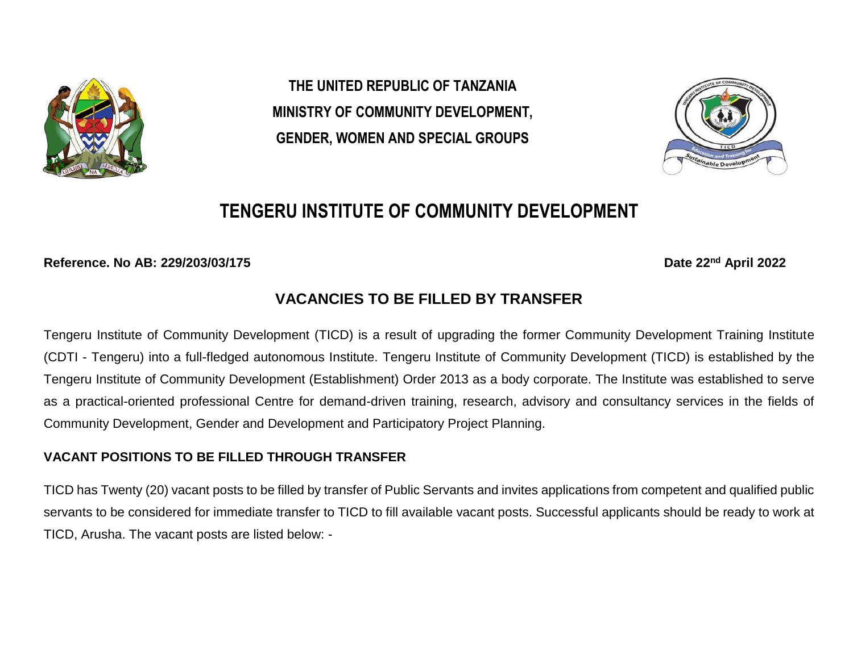

**THE UNITED REPUBLIC OF TANZANIA MINISTRY OF COMMUNITY DEVELOPMENT, GENDER, WOMEN AND SPECIAL GROUPS** 



# **TENGERU INSTITUTE OF COMMUNITY DEVELOPMENT**

**Reference. No AB: 229/203/03/175 Date 22nd April 2022**

# **VACANCIES TO BE FILLED BY TRANSFER**

Tengeru Institute of Community Development (TICD) is a result of upgrading the former Community Development Training Institute (CDTI - Tengeru) into a full-fledged autonomous Institute. Tengeru Institute of Community Development (TICD) is established by the Tengeru Institute of Community Development (Establishment) Order 2013 as a body corporate. The Institute was established to serve as a practical-oriented professional Centre for demand-driven training, research, advisory and consultancy services in the fields of Community Development, Gender and Development and Participatory Project Planning.

## **VACANT POSITIONS TO BE FILLED THROUGH TRANSFER**

TICD has Twenty (20) vacant posts to be filled by transfer of Public Servants and invites applications from competent and qualified public servants to be considered for immediate transfer to TICD to fill available vacant posts. Successful applicants should be ready to work at TICD, Arusha. The vacant posts are listed below: -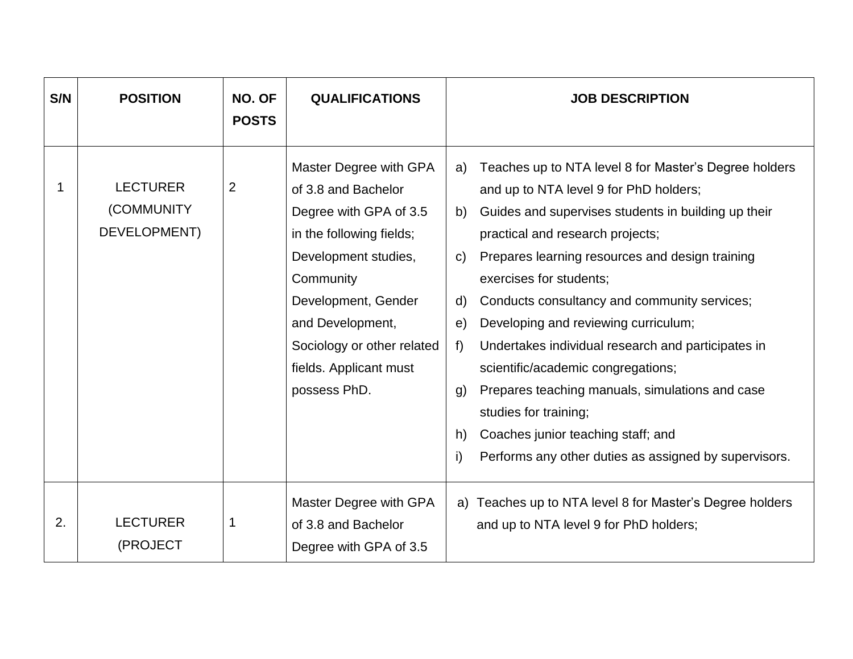| S/N | <b>POSITION</b>                                | NO. OF<br><b>POSTS</b> | <b>QUALIFICATIONS</b>                                                                                                                                                                                                                                       | <b>JOB DESCRIPTION</b>                                                                                                                                                                                                                                                                                                                                                                                                                                                                                                                                                                                                                                                                                 |
|-----|------------------------------------------------|------------------------|-------------------------------------------------------------------------------------------------------------------------------------------------------------------------------------------------------------------------------------------------------------|--------------------------------------------------------------------------------------------------------------------------------------------------------------------------------------------------------------------------------------------------------------------------------------------------------------------------------------------------------------------------------------------------------------------------------------------------------------------------------------------------------------------------------------------------------------------------------------------------------------------------------------------------------------------------------------------------------|
| 1   | <b>LECTURER</b><br>(COMMUNITY)<br>DEVELOPMENT) | $\overline{2}$         | Master Degree with GPA<br>of 3.8 and Bachelor<br>Degree with GPA of 3.5<br>in the following fields;<br>Development studies,<br>Community<br>Development, Gender<br>and Development,<br>Sociology or other related<br>fields. Applicant must<br>possess PhD. | Teaches up to NTA level 8 for Master's Degree holders<br>a)<br>and up to NTA level 9 for PhD holders;<br>Guides and supervises students in building up their<br>b)<br>practical and research projects;<br>Prepares learning resources and design training<br>$\mathsf{C}$<br>exercises for students;<br>Conducts consultancy and community services;<br>d)<br>Developing and reviewing curriculum;<br>e)<br>f<br>Undertakes individual research and participates in<br>scientific/academic congregations;<br>Prepares teaching manuals, simulations and case<br>g)<br>studies for training;<br>Coaches junior teaching staff; and<br>h)<br>i)<br>Performs any other duties as assigned by supervisors. |
| 2.  | <b>LECTURER</b><br>(PROJECT                    |                        | Master Degree with GPA<br>of 3.8 and Bachelor<br>Degree with GPA of 3.5                                                                                                                                                                                     | a) Teaches up to NTA level 8 for Master's Degree holders<br>and up to NTA level 9 for PhD holders;                                                                                                                                                                                                                                                                                                                                                                                                                                                                                                                                                                                                     |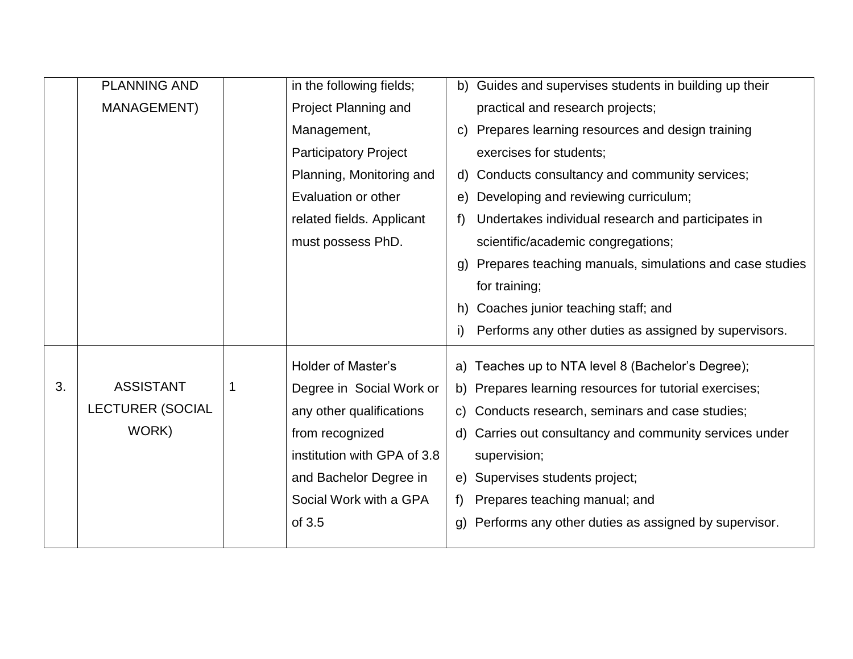|    | <b>PLANNING AND</b>     |   | in the following fields;     |                | b) Guides and supervises students in building up their  |
|----|-------------------------|---|------------------------------|----------------|---------------------------------------------------------|
|    | <b>MANAGEMENT)</b>      |   | Project Planning and         |                | practical and research projects;                        |
|    |                         |   | Management,                  | C)             | Prepares learning resources and design training         |
|    |                         |   | <b>Participatory Project</b> |                | exercises for students;                                 |
|    |                         |   | Planning, Monitoring and     |                | d) Conducts consultancy and community services;         |
|    |                         |   | Evaluation or other          | e)             | Developing and reviewing curriculum;                    |
|    |                         |   | related fields. Applicant    | f)             | Undertakes individual research and participates in      |
|    |                         |   | must possess PhD.            |                | scientific/academic congregations;                      |
|    |                         |   |                              | (g             | Prepares teaching manuals, simulations and case studies |
|    |                         |   |                              |                | for training;                                           |
|    |                         |   |                              | h)             | Coaches junior teaching staff; and                      |
|    |                         |   |                              | i)             | Performs any other duties as assigned by supervisors.   |
|    |                         |   | <b>Holder of Master's</b>    |                | a) Teaches up to NTA level 8 (Bachelor's Degree);       |
| 3. | <b>ASSISTANT</b>        | 1 | Degree in Social Work or     |                | b) Prepares learning resources for tutorial exercises;  |
|    | <b>LECTURER (SOCIAL</b> |   | any other qualifications     |                | c) Conducts research, seminars and case studies;        |
|    | WORK)                   |   | from recognized              | d)             | Carries out consultancy and community services under    |
|    |                         |   | institution with GPA of 3.8  |                | supervision;                                            |
|    |                         |   | and Bachelor Degree in       |                | e) Supervises students project;                         |
|    |                         |   | Social Work with a GPA       | f)             | Prepares teaching manual; and                           |
|    |                         |   | of 3.5                       | $\mathfrak{g}$ | Performs any other duties as assigned by supervisor.    |
|    |                         |   |                              |                |                                                         |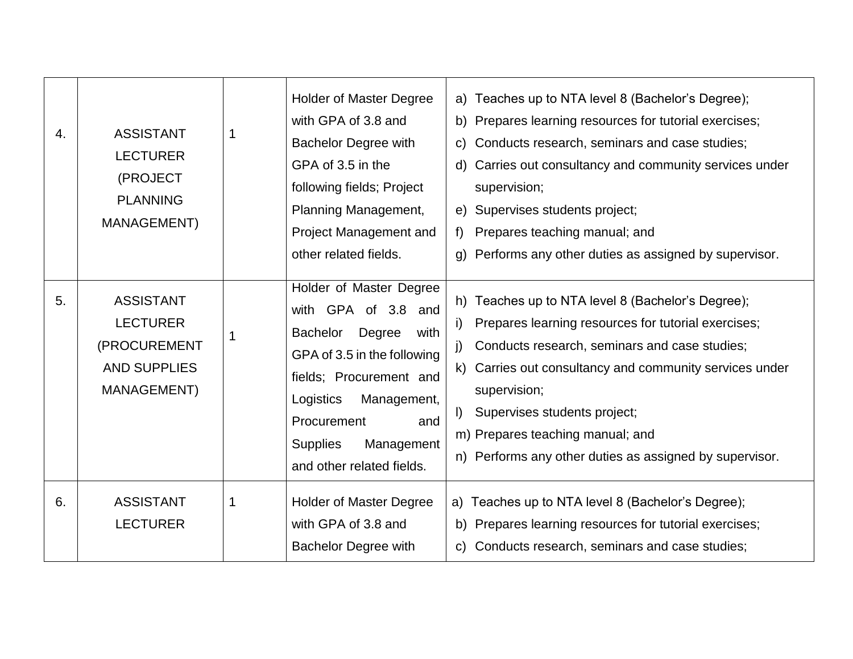| $\overline{4}$ . | <b>ASSISTANT</b><br><b>LECTURER</b><br>(PROJECT<br><b>PLANNING</b><br>MANAGEMENT)         | 1 | <b>Holder of Master Degree</b><br>with GPA of 3.8 and<br><b>Bachelor Degree with</b><br>GPA of 3.5 in the<br>following fields; Project<br>Planning Management,<br>Project Management and<br>other related fields.                                             | a) Teaches up to NTA level 8 (Bachelor's Degree);<br>b) Prepares learning resources for tutorial exercises;<br>Conducts research, seminars and case studies;<br>C)<br>d) Carries out consultancy and community services under<br>supervision;<br>Supervises students project;<br>e)<br>Prepares teaching manual; and<br>$f$ )<br>Performs any other duties as assigned by supervisor.<br>g)             |
|------------------|-------------------------------------------------------------------------------------------|---|---------------------------------------------------------------------------------------------------------------------------------------------------------------------------------------------------------------------------------------------------------------|---------------------------------------------------------------------------------------------------------------------------------------------------------------------------------------------------------------------------------------------------------------------------------------------------------------------------------------------------------------------------------------------------------|
| 5.               | <b>ASSISTANT</b><br><b>LECTURER</b><br>(PROCUREMENT<br><b>AND SUPPLIES</b><br>MANAGEMENT) |   | Holder of Master Degree<br>with GPA of 3.8 and<br>Degree<br><b>Bachelor</b><br>with<br>GPA of 3.5 in the following<br>fields; Procurement and<br>Logistics<br>Management,<br>Procurement<br>and<br><b>Supplies</b><br>Management<br>and other related fields. | h) Teaches up to NTA level 8 (Bachelor's Degree);<br>Prepares learning resources for tutorial exercises;<br>i)<br>Conducts research, seminars and case studies;<br>$\mathbf{j}$<br>Carries out consultancy and community services under<br>k)<br>supervision;<br>Supervises students project;<br>$\vert$<br>m) Prepares teaching manual; and<br>n) Performs any other duties as assigned by supervisor. |
| 6.               | <b>ASSISTANT</b><br><b>LECTURER</b>                                                       | 1 | <b>Holder of Master Degree</b><br>with GPA of 3.8 and<br><b>Bachelor Degree with</b>                                                                                                                                                                          | a) Teaches up to NTA level 8 (Bachelor's Degree);<br>b) Prepares learning resources for tutorial exercises;<br>c) Conducts research, seminars and case studies;                                                                                                                                                                                                                                         |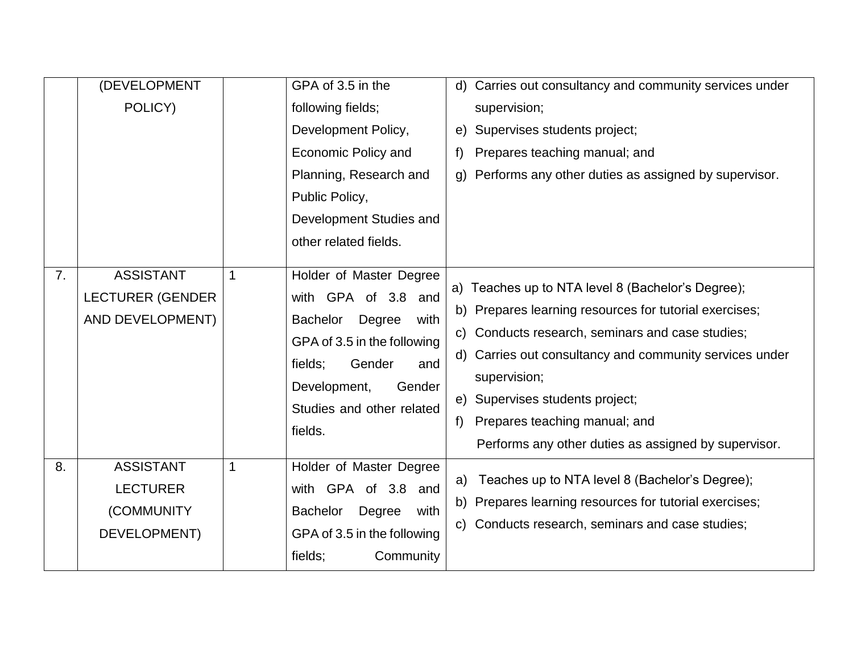|    | (DEVELOPMENT                                                      |             | GPA of 3.5 in the                                                                                                                                                                                                | d) Carries out consultancy and community services under                                                                                                                                                                                                                                                                                                                           |
|----|-------------------------------------------------------------------|-------------|------------------------------------------------------------------------------------------------------------------------------------------------------------------------------------------------------------------|-----------------------------------------------------------------------------------------------------------------------------------------------------------------------------------------------------------------------------------------------------------------------------------------------------------------------------------------------------------------------------------|
|    | POLICY)                                                           |             | following fields;                                                                                                                                                                                                | supervision;                                                                                                                                                                                                                                                                                                                                                                      |
|    |                                                                   |             | Development Policy,                                                                                                                                                                                              | Supervises students project;<br>e)                                                                                                                                                                                                                                                                                                                                                |
|    |                                                                   |             | Economic Policy and                                                                                                                                                                                              | Prepares teaching manual; and<br>f                                                                                                                                                                                                                                                                                                                                                |
|    |                                                                   |             | Planning, Research and                                                                                                                                                                                           | Performs any other duties as assigned by supervisor.<br>g)                                                                                                                                                                                                                                                                                                                        |
|    |                                                                   |             | Public Policy,                                                                                                                                                                                                   |                                                                                                                                                                                                                                                                                                                                                                                   |
|    |                                                                   |             | Development Studies and                                                                                                                                                                                          |                                                                                                                                                                                                                                                                                                                                                                                   |
|    |                                                                   |             | other related fields.                                                                                                                                                                                            |                                                                                                                                                                                                                                                                                                                                                                                   |
| 7. | <b>ASSISTANT</b><br><b>LECTURER (GENDER</b><br>AND DEVELOPMENT)   | $\mathbf 1$ | Holder of Master Degree<br>with GPA of 3.8 and<br><b>Bachelor</b><br>Degree<br>with<br>GPA of 3.5 in the following<br>fields;<br>Gender<br>and<br>Development,<br>Gender<br>Studies and other related<br>fields. | a) Teaches up to NTA level 8 (Bachelor's Degree);<br>b) Prepares learning resources for tutorial exercises;<br>Conducts research, seminars and case studies;<br>C)<br>d) Carries out consultancy and community services under<br>supervision;<br>Supervises students project;<br>e)<br>Prepares teaching manual; and<br>f<br>Performs any other duties as assigned by supervisor. |
| 8. | <b>ASSISTANT</b><br><b>LECTURER</b><br>(COMMUNITY<br>DEVELOPMENT) | $\mathbf 1$ | Holder of Master Degree<br>with GPA of 3.8 and<br>Degree<br><b>Bachelor</b><br>with<br>GPA of 3.5 in the following<br>Community<br>fields;                                                                       | Teaches up to NTA level 8 (Bachelor's Degree);<br>a)<br>b) Prepares learning resources for tutorial exercises;<br>c) Conducts research, seminars and case studies;                                                                                                                                                                                                                |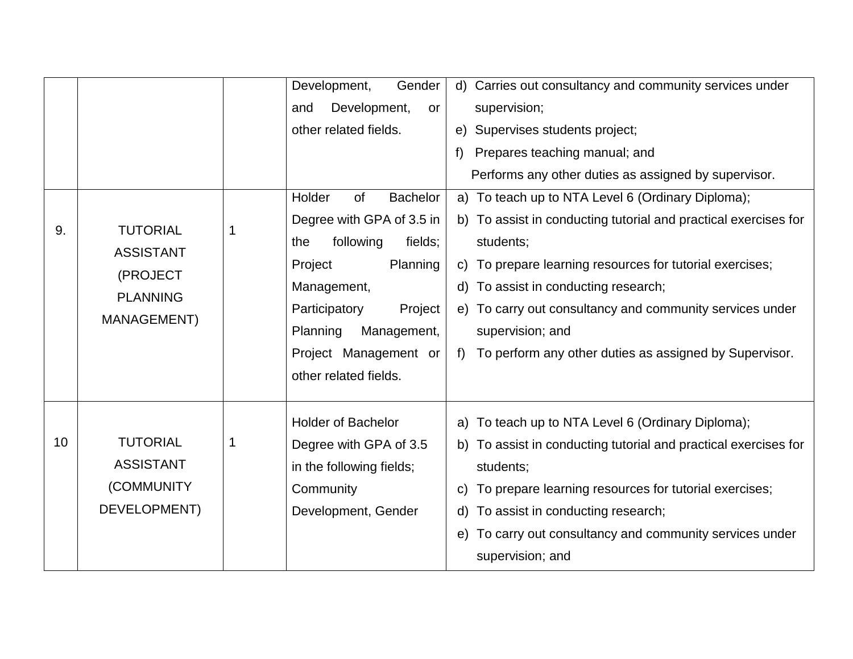|    |                  | Development,<br>Gender                 | Carries out consultancy and community services under<br>d)      |
|----|------------------|----------------------------------------|-----------------------------------------------------------------|
|    |                  | Development,<br>and<br>or              | supervision;                                                    |
|    |                  | other related fields.                  | Supervises students project;<br>e)                              |
|    |                  |                                        | Prepares teaching manual; and<br>$f$ )                          |
|    |                  |                                        | Performs any other duties as assigned by supervisor.            |
|    |                  | Holder<br><b>Bachelor</b><br><b>of</b> | a) To teach up to NTA Level 6 (Ordinary Diploma);               |
| 9. | <b>TUTORIAL</b>  | Degree with GPA of 3.5 in              | b) To assist in conducting tutorial and practical exercises for |
|    | <b>ASSISTANT</b> | following<br>the<br>fields;            | students;                                                       |
|    | (PROJECT         | Planning<br>Project                    | To prepare learning resources for tutorial exercises;<br>C)     |
|    | <b>PLANNING</b>  | Management,                            | To assist in conducting research;<br>d)                         |
|    | MANAGEMENT)      | Participatory<br>Project               | e) To carry out consultancy and community services under        |
|    |                  | Planning<br>Management,                | supervision; and                                                |
|    |                  | Project Management or                  | To perform any other duties as assigned by Supervisor.<br>f     |
|    |                  | other related fields.                  |                                                                 |
|    |                  |                                        |                                                                 |
|    |                  | <b>Holder of Bachelor</b>              | a) To teach up to NTA Level 6 (Ordinary Diploma);               |
| 10 | <b>TUTORIAL</b>  | Degree with GPA of 3.5                 | b) To assist in conducting tutorial and practical exercises for |
|    | <b>ASSISTANT</b> | in the following fields;               | students;                                                       |
|    | (COMMUNITY)      | Community                              | To prepare learning resources for tutorial exercises;<br>C)     |
|    | DEVELOPMENT)     | Development, Gender                    | To assist in conducting research;<br>d)                         |
|    |                  |                                        | To carry out consultancy and community services under<br>e)     |
|    |                  |                                        | supervision; and                                                |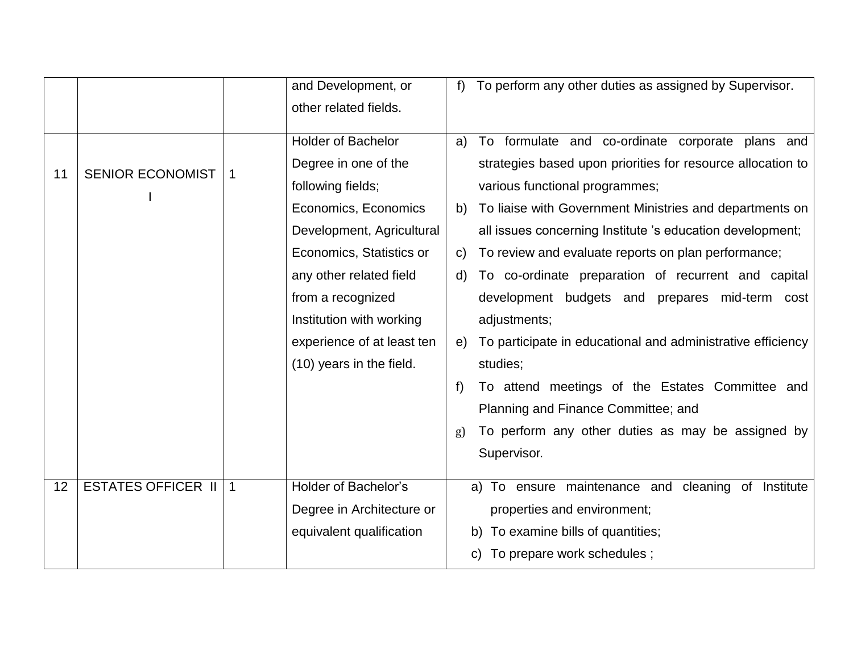|    |                           |              | and Development, or        | To perform any other duties as assigned by Supervisor.<br>f       |  |
|----|---------------------------|--------------|----------------------------|-------------------------------------------------------------------|--|
|    |                           |              | other related fields.      |                                                                   |  |
|    |                           |              | Holder of Bachelor         | To formulate and co-ordinate corporate plans and<br>a)            |  |
| 11 | <b>SENIOR ECONOMIST</b>   | $\mathbf{1}$ | Degree in one of the       | strategies based upon priorities for resource allocation to       |  |
|    |                           |              | following fields;          | various functional programmes;                                    |  |
|    |                           |              | Economics, Economics       | To liaise with Government Ministries and departments on<br>b)     |  |
|    |                           |              | Development, Agricultural  | all issues concerning Institute 's education development;         |  |
|    |                           |              | Economics, Statistics or   | To review and evaluate reports on plan performance;<br>C)         |  |
|    |                           |              | any other related field    | To co-ordinate preparation of recurrent and capital<br>d)         |  |
|    |                           |              | from a recognized          | development budgets and prepares mid-term cost                    |  |
|    |                           |              | Institution with working   | adjustments;                                                      |  |
|    |                           |              | experience of at least ten | To participate in educational and administrative efficiency<br>e) |  |
|    |                           |              | (10) years in the field.   | studies;                                                          |  |
|    |                           |              |                            | To attend meetings of the Estates Committee and                   |  |
|    |                           |              |                            | Planning and Finance Committee; and                               |  |
|    |                           |              |                            | To perform any other duties as may be assigned by                 |  |
|    |                           |              |                            | Supervisor.                                                       |  |
| 12 | <b>ESTATES OFFICER II</b> | $\mathbf{1}$ | Holder of Bachelor's       | a) To ensure maintenance and cleaning of Institute                |  |
|    |                           |              | Degree in Architecture or  | properties and environment;                                       |  |
|    |                           |              | equivalent qualification   | b) To examine bills of quantities;                                |  |
|    |                           |              |                            | To prepare work schedules;                                        |  |
|    |                           |              |                            |                                                                   |  |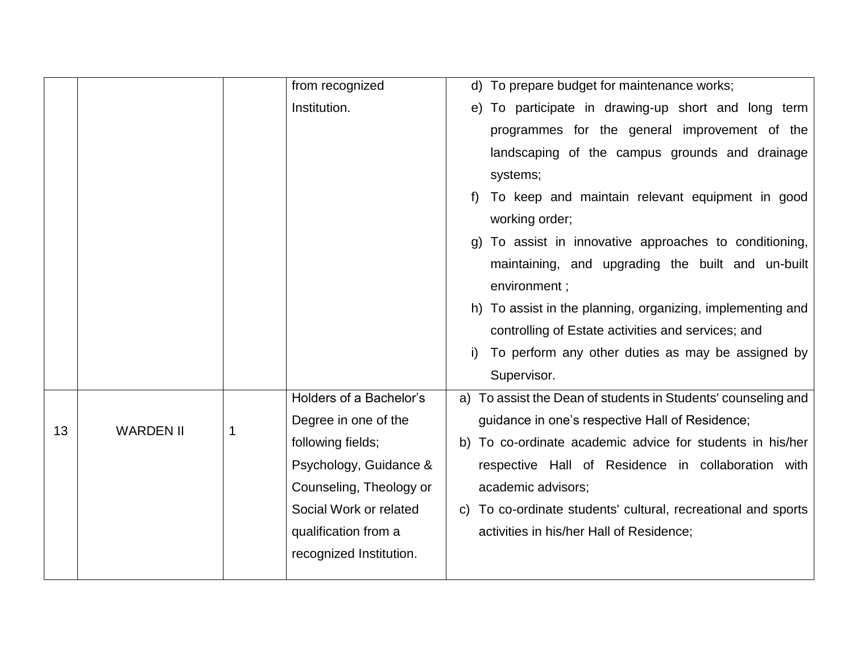|    |                  |   | from recognized         | d) To prepare budget for maintenance works;                   |
|----|------------------|---|-------------------------|---------------------------------------------------------------|
|    |                  |   | Institution.            | e) To participate in drawing-up short and long term           |
|    |                  |   |                         | programmes for the general improvement of the                 |
|    |                  |   |                         | landscaping of the campus grounds and drainage                |
|    |                  |   |                         | systems;                                                      |
|    |                  |   |                         | To keep and maintain relevant equipment in good               |
|    |                  |   |                         | working order;                                                |
|    |                  |   |                         | g) To assist in innovative approaches to conditioning,        |
|    |                  |   |                         | maintaining, and upgrading the built and un-built             |
|    |                  |   |                         | environment;                                                  |
|    |                  |   |                         | h) To assist in the planning, organizing, implementing and    |
|    |                  |   |                         | controlling of Estate activities and services; and            |
|    |                  |   |                         | To perform any other duties as may be assigned by             |
|    |                  |   |                         | Supervisor.                                                   |
|    |                  |   | Holders of a Bachelor's | a) To assist the Dean of students in Students' counseling and |
| 13 | <b>WARDEN II</b> | 1 | Degree in one of the    | guidance in one's respective Hall of Residence;               |
|    |                  |   | following fields;       | b) To co-ordinate academic advice for students in his/her     |
|    |                  |   | Psychology, Guidance &  | respective Hall of Residence in collaboration with            |
|    |                  |   | Counseling, Theology or | academic advisors;                                            |
|    |                  |   | Social Work or related  | c) To co-ordinate students' cultural, recreational and sports |
|    |                  |   | qualification from a    | activities in his/her Hall of Residence;                      |
|    |                  |   | recognized Institution. |                                                               |
|    |                  |   |                         |                                                               |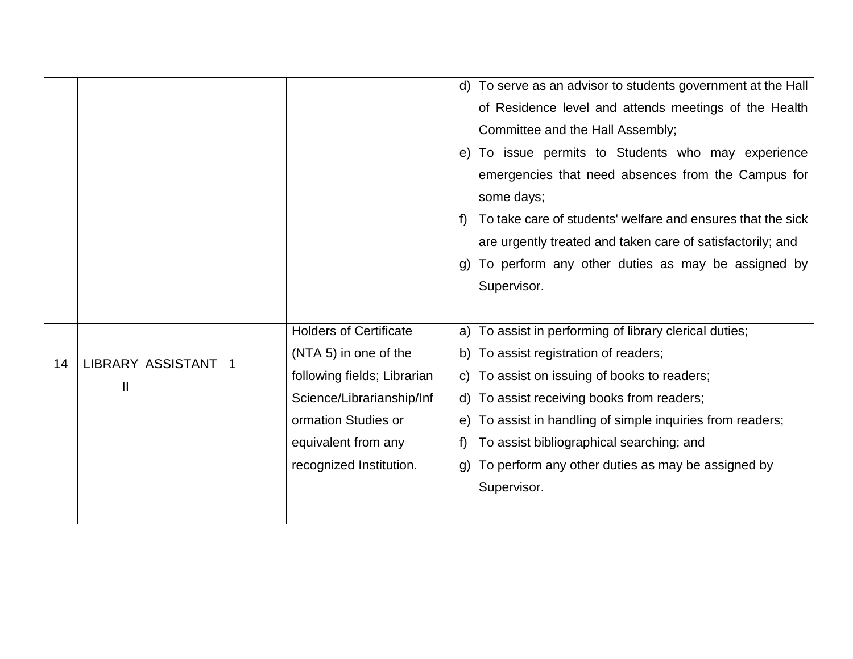|    |                          |   |                               | d) To serve as an advisor to students government at the Hall      |
|----|--------------------------|---|-------------------------------|-------------------------------------------------------------------|
|    |                          |   |                               | of Residence level and attends meetings of the Health             |
|    |                          |   |                               | Committee and the Hall Assembly;                                  |
|    |                          |   |                               | e) To issue permits to Students who may experience                |
|    |                          |   |                               | emergencies that need absences from the Campus for                |
|    |                          |   |                               | some days;                                                        |
|    |                          |   |                               | To take care of students' welfare and ensures that the sick<br>f) |
|    |                          |   |                               | are urgently treated and taken care of satisfactorily; and        |
|    |                          |   |                               | To perform any other duties as may be assigned by<br>g)           |
|    |                          |   |                               | Supervisor.                                                       |
|    |                          |   |                               |                                                                   |
|    |                          |   | <b>Holders of Certificate</b> | a) To assist in performing of library clerical duties;            |
|    | <b>LIBRARY ASSISTANT</b> |   | (NTA 5) in one of the         | b) To assist registration of readers;                             |
| 14 |                          | 1 | following fields; Librarian   | c) To assist on issuing of books to readers;                      |
|    | $\mathbf{II}$            |   | Science/Librarianship/Inf     | d) To assist receiving books from readers;                        |
|    |                          |   | ormation Studies or           | e) To assist in handling of simple inquiries from readers;        |
|    |                          |   | equivalent from any           | To assist bibliographical searching; and                          |
|    |                          |   | recognized Institution.       | To perform any other duties as may be assigned by<br>q)           |
|    |                          |   |                               | Supervisor.                                                       |
|    |                          |   |                               |                                                                   |
|    |                          |   |                               |                                                                   |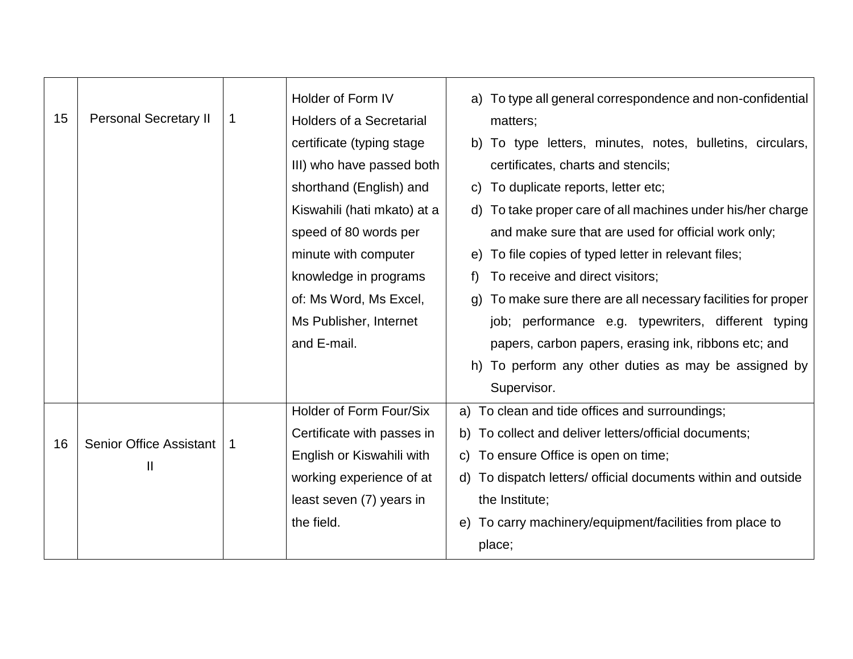|    |                                |   | Holder of Form IV               | a) To type all general correspondence and non-confidential    |
|----|--------------------------------|---|---------------------------------|---------------------------------------------------------------|
| 15 | <b>Personal Secretary II</b>   | 1 | <b>Holders of a Secretarial</b> | matters;                                                      |
|    |                                |   | certificate (typing stage)      | b) To type letters, minutes, notes, bulletins, circulars,     |
|    |                                |   | III) who have passed both       | certificates, charts and stencils;                            |
|    |                                |   | shorthand (English) and         | To duplicate reports, letter etc;<br>C)                       |
|    |                                |   | Kiswahili (hati mkato) at a     | d) To take proper care of all machines under his/her charge   |
|    |                                |   | speed of 80 words per           | and make sure that are used for official work only;           |
|    |                                |   | minute with computer            | e) To file copies of typed letter in relevant files;          |
|    |                                |   | knowledge in programs           | To receive and direct visitors;                               |
|    |                                |   | of: Ms Word, Ms Excel,          | g) To make sure there are all necessary facilities for proper |
|    |                                |   | Ms Publisher, Internet          | job; performance e.g. typewriters, different typing           |
|    |                                |   | and E-mail.                     | papers, carbon papers, erasing ink, ribbons etc; and          |
|    |                                |   |                                 | h) To perform any other duties as may be assigned by          |
|    |                                |   |                                 | Supervisor.                                                   |
|    |                                |   | Holder of Form Four/Six         | a) To clean and tide offices and surroundings;                |
| 16 | <b>Senior Office Assistant</b> | 1 | Certificate with passes in      | b) To collect and deliver letters/official documents;         |
|    | $\mathbf{I}$                   |   | English or Kiswahili with       | c) To ensure Office is open on time;                          |
|    |                                |   | working experience of at        | d) To dispatch letters/ official documents within and outside |
|    |                                |   | least seven (7) years in        | the Institute;                                                |
|    |                                |   | the field.                      | To carry machinery/equipment/facilities from place to<br>e)   |
|    |                                |   |                                 | place;                                                        |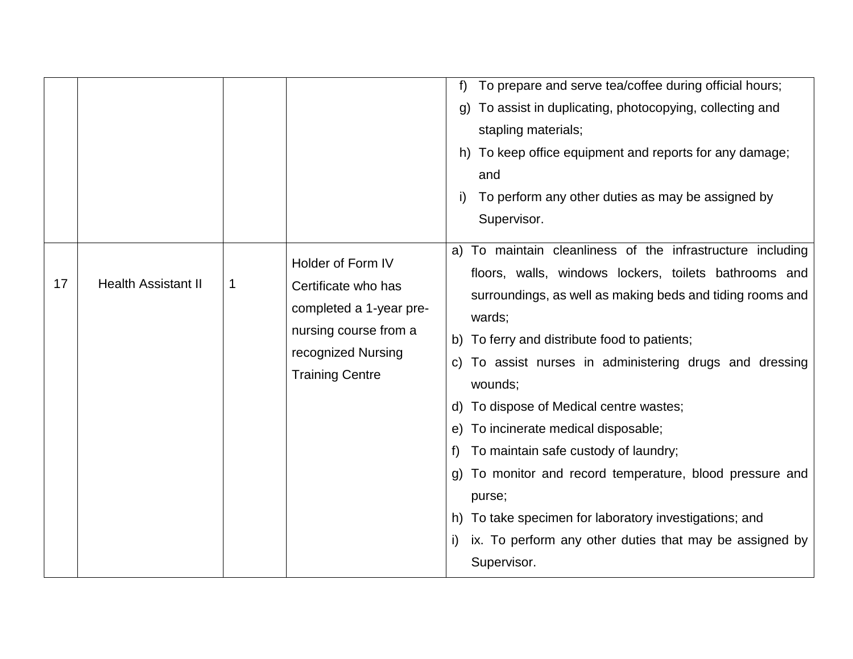|    |                            |   |                                                                                                                                              | To prepare and serve tea/coffee during official hours;<br>f)<br>To assist in duplicating, photocopying, collecting and<br>g)<br>stapling materials;<br>h) To keep office equipment and reports for any damage;<br>and<br>To perform any other duties as may be assigned by<br>I)<br>Supervisor.                                                                                                                                                                                                                                                                                                                                                                        |
|----|----------------------------|---|----------------------------------------------------------------------------------------------------------------------------------------------|------------------------------------------------------------------------------------------------------------------------------------------------------------------------------------------------------------------------------------------------------------------------------------------------------------------------------------------------------------------------------------------------------------------------------------------------------------------------------------------------------------------------------------------------------------------------------------------------------------------------------------------------------------------------|
| 17 | <b>Health Assistant II</b> | 1 | Holder of Form IV<br>Certificate who has<br>completed a 1-year pre-<br>nursing course from a<br>recognized Nursing<br><b>Training Centre</b> | a) To maintain cleanliness of the infrastructure including<br>floors, walls, windows lockers, toilets bathrooms and<br>surroundings, as well as making beds and tiding rooms and<br>wards;<br>b) To ferry and distribute food to patients;<br>c) To assist nurses in administering drugs and dressing<br>wounds;<br>d) To dispose of Medical centre wastes;<br>e) To incinerate medical disposable;<br>To maintain safe custody of laundry;<br>t)<br>g) To monitor and record temperature, blood pressure and<br>purse;<br>h) To take specimen for laboratory investigations; and<br>ix. To perform any other duties that may be assigned by<br>$\vert$<br>Supervisor. |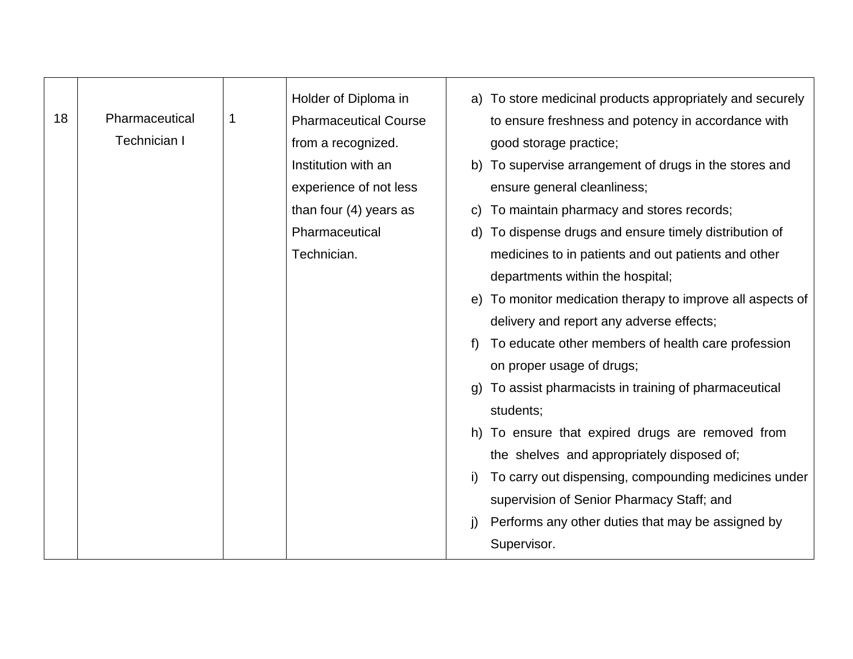|    |                     |   | Holder of Diploma in         |    | a) To store medicinal products appropriately and securely  |
|----|---------------------|---|------------------------------|----|------------------------------------------------------------|
| 18 | Pharmaceutical      | 1 | <b>Pharmaceutical Course</b> |    | to ensure freshness and potency in accordance with         |
|    | <b>Technician I</b> |   | from a recognized.           |    | good storage practice;                                     |
|    |                     |   | Institution with an          |    | b) To supervise arrangement of drugs in the stores and     |
|    |                     |   | experience of not less       |    | ensure general cleanliness;                                |
|    |                     |   | than four $(4)$ years as     |    | c) To maintain pharmacy and stores records;                |
|    |                     |   | Pharmaceutical               |    | d) To dispense drugs and ensure timely distribution of     |
|    |                     |   | Technician.                  |    | medicines to in patients and out patients and other        |
|    |                     |   |                              |    | departments within the hospital;                           |
|    |                     |   |                              |    | e) To monitor medication therapy to improve all aspects of |
|    |                     |   |                              |    | delivery and report any adverse effects;                   |
|    |                     |   |                              |    | To educate other members of health care profession         |
|    |                     |   |                              |    | on proper usage of drugs;                                  |
|    |                     |   |                              | q) | To assist pharmacists in training of pharmaceutical        |
|    |                     |   |                              |    | students;                                                  |
|    |                     |   |                              |    | h) To ensure that expired drugs are removed from           |
|    |                     |   |                              |    | the shelves and appropriately disposed of;                 |
|    |                     |   |                              | i) | To carry out dispensing, compounding medicines under       |
|    |                     |   |                              |    | supervision of Senior Pharmacy Staff; and                  |
|    |                     |   |                              | j) | Performs any other duties that may be assigned by          |
|    |                     |   |                              |    | Supervisor.                                                |
|    |                     |   |                              |    |                                                            |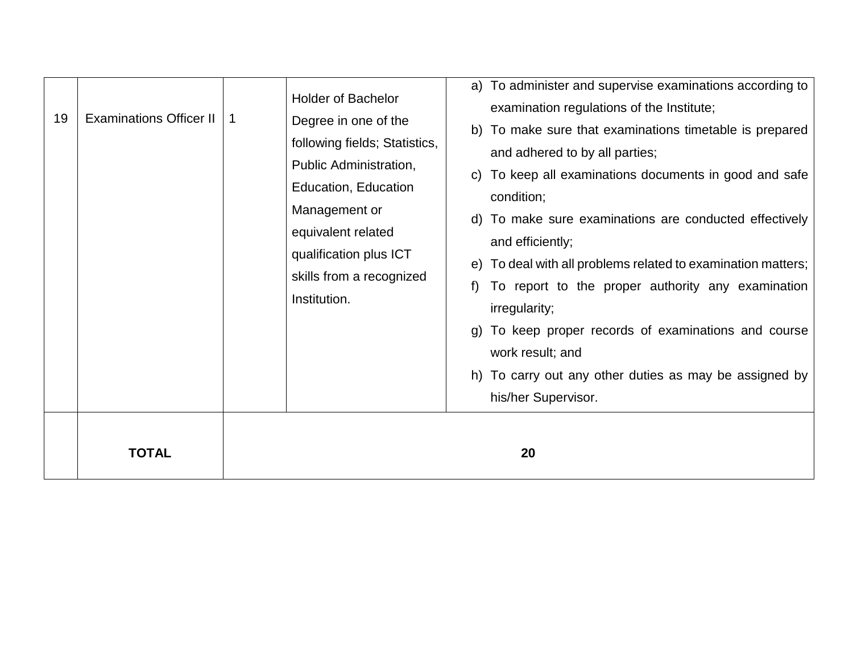| 19 | <b>Examinations Officer II</b> | 1 | <b>Holder of Bachelor</b><br>Degree in one of the<br>following fields; Statistics,<br>Public Administration,<br>Education, Education<br>Management or<br>equivalent related<br>qualification plus ICT<br>skills from a recognized<br>Institution. | a) To administer and supervise examinations according to<br>examination regulations of the Institute;<br>b) To make sure that examinations timetable is prepared<br>and adhered to by all parties;<br>c) To keep all examinations documents in good and safe<br>condition;<br>d) To make sure examinations are conducted effectively<br>and efficiently;<br>e) To deal with all problems related to examination matters;<br>To report to the proper authority any examination<br>irregularity;<br>g) To keep proper records of examinations and course<br>work result; and<br>h) To carry out any other duties as may be assigned by<br>his/her Supervisor. |
|----|--------------------------------|---|---------------------------------------------------------------------------------------------------------------------------------------------------------------------------------------------------------------------------------------------------|-------------------------------------------------------------------------------------------------------------------------------------------------------------------------------------------------------------------------------------------------------------------------------------------------------------------------------------------------------------------------------------------------------------------------------------------------------------------------------------------------------------------------------------------------------------------------------------------------------------------------------------------------------------|
|    | <b>TOTAL</b>                   |   |                                                                                                                                                                                                                                                   | 20                                                                                                                                                                                                                                                                                                                                                                                                                                                                                                                                                                                                                                                          |